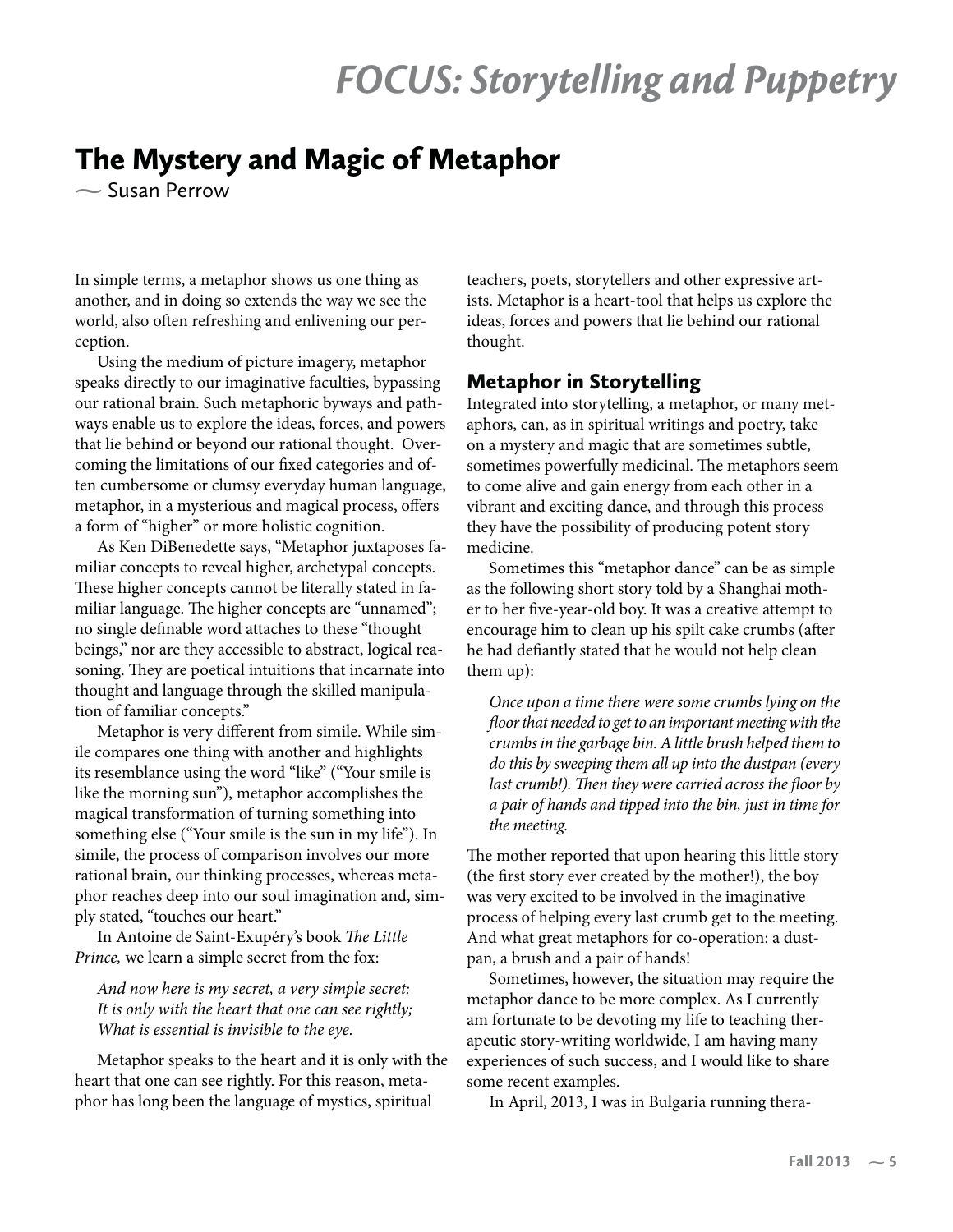# *FOCUS: Storytelling and Puppetry*

## The Mystery and Magic of Metaphor

**-** Susan Perrow

In simple terms, a metaphor shows us one thing as another, and in doing so extends the way we see the world, also often refreshing and enlivening our perception.

Using the medium of picture imagery, metaphor speaks directly to our imaginative faculties, bypassing our rational brain. Such metaphoric byways and pathways enable us to explore the ideas, forces, and powers that lie behind or beyond our rational thought. Overcoming the limitations of our fixed categories and often cumbersome or clumsy everyday human language, metaphor, in a mysterious and magical process, offers a form of "higher" or more holistic cognition.

As Ken DiBenedette says, "Metaphor juxtaposes familiar concepts to reveal higher, archetypal concepts. These higher concepts cannot be literally stated in familiar language. The higher concepts are "unnamed"; no single definable word attaches to these "thought beings," nor are they accessible to abstract, logical reasoning. They are poetical intuitions that incarnate into thought and language through the skilled manipulation of familiar concepts."

Metaphor is very different from simile. While simile compares one thing with another and highlights its resemblance using the word "like" ("Your smile is like the morning sun"), metaphor accomplishes the magical transformation of turning something into something else ("Your smile is the sun in my life"). In simile, the process of comparison involves our more rational brain, our thinking processes, whereas metaphor reaches deep into our soul imagination and, simply stated, "touches our heart."

In Antoine de Saint-Exupéry's book *The Little Prince,* we learn a simple secret from the fox:

*And now here is my secret, a very simple secret: It is only with the heart that one can see rightly; What is essential is invisible to the eye.*

Metaphor speaks to the heart and it is only with the heart that one can see rightly. For this reason, metaphor has long been the language of mystics, spiritual

teachers, poets, storytellers and other expressive artists. Metaphor is a heart-tool that helps us explore the ideas, forces and powers that lie behind our rational thought.

#### Metaphor in Storytelling

Integrated into storytelling, a metaphor, or many metaphors, can, as in spiritual writings and poetry, take on a mystery and magic that are sometimes subtle, sometimes powerfully medicinal. The metaphors seem to come alive and gain energy from each other in a vibrant and exciting dance, and through this process they have the possibility of producing potent story medicine.

Sometimes this "metaphor dance" can be as simple as the following short story told by a Shanghai mother to her five-year-old boy. It was a creative attempt to encourage him to clean up his spilt cake crumbs (after he had defiantly stated that he would not help clean them up):

*Once upon a time there were some crumbs lying on the floor that needed to get to an important meeting with the crumbs in the garbage bin. A little brush helped them to do this by sweeping them all up into the dustpan (every last crumb!). Then they were carried across the floor by a pair of hands and tipped into the bin, just in time for the meeting.* 

The mother reported that upon hearing this little story (the first story ever created by the mother!), the boy was very excited to be involved in the imaginative process of helping every last crumb get to the meeting. And what great metaphors for co-operation: a dustpan, a brush and a pair of hands!

Sometimes, however, the situation may require the metaphor dance to be more complex. As I currently am fortunate to be devoting my life to teaching therapeutic story-writing worldwide, I am having many experiences of such success, and I would like to share some recent examples.

In April, 2013, I was in Bulgaria running thera-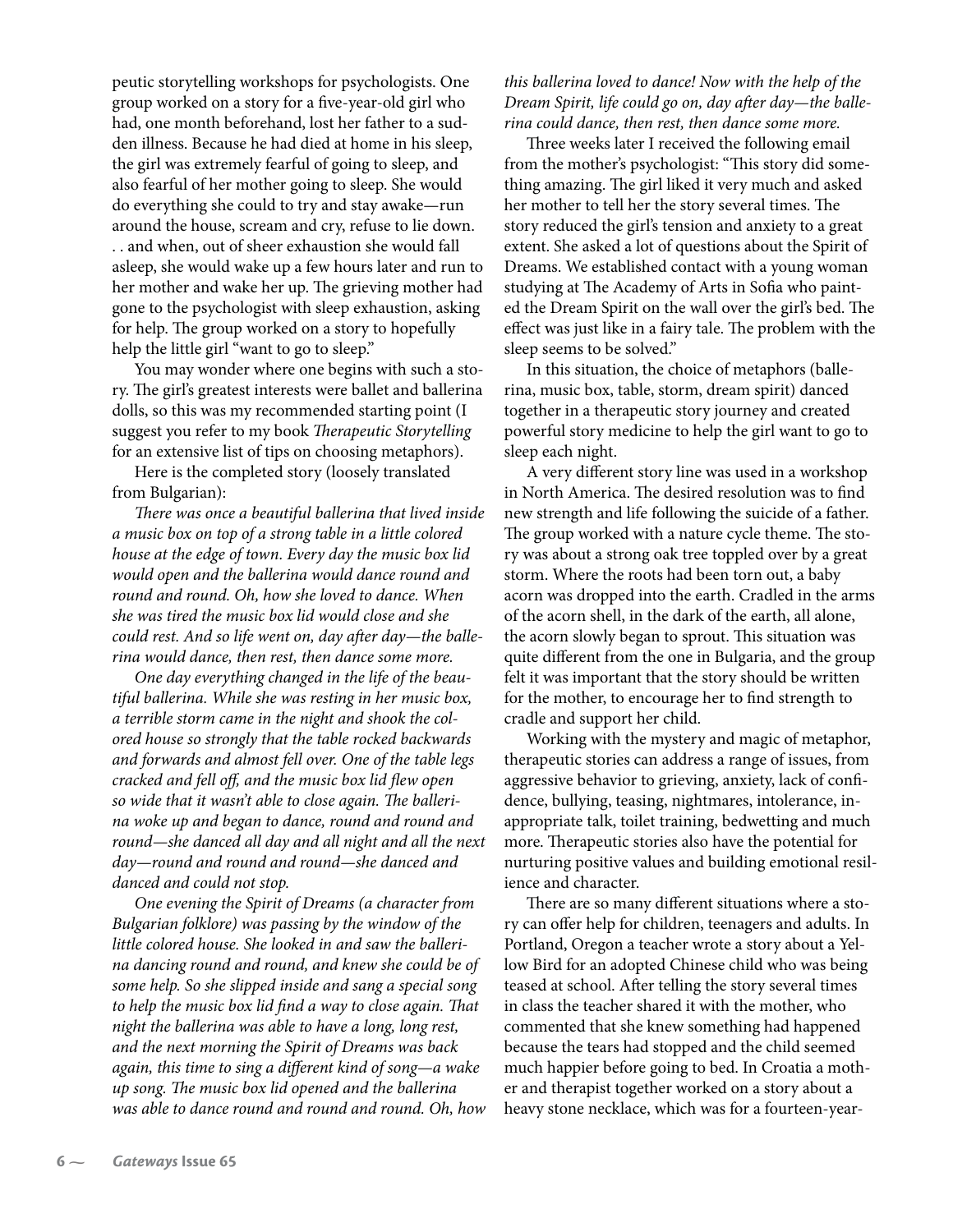peutic storytelling workshops for psychologists. One group worked on a story for a five-year-old girl who had, one month beforehand, lost her father to a sudden illness. Because he had died at home in his sleep, the girl was extremely fearful of going to sleep, and also fearful of her mother going to sleep. She would do everything she could to try and stay awake—run around the house, scream and cry, refuse to lie down. . . and when, out of sheer exhaustion she would fall asleep, she would wake up a few hours later and run to her mother and wake her up. The grieving mother had gone to the psychologist with sleep exhaustion, asking for help. The group worked on a story to hopefully help the little girl "want to go to sleep."

You may wonder where one begins with such a story. The girl's greatest interests were ballet and ballerina dolls, so this was my recommended starting point (I suggest you refer to my book *Therapeutic Storytelling* for an extensive list of tips on choosing metaphors).

Here is the completed story (loosely translated from Bulgarian):

*There was once a beautiful ballerina that lived inside a music box on top of a strong table in a little colored house at the edge of town. Every day the music box lid would open and the ballerina would dance round and round and round. Oh, how she loved to dance. When she was tired the music box lid would close and she could rest. And so life went on, day after day—the ballerina would dance, then rest, then dance some more.*

*One day everything changed in the life of the beautiful ballerina. While she was resting in her music box, a terrible storm came in the night and shook the colored house so strongly that the table rocked backwards and forwards and almost fell over. One of the table legs cracked and fell off, and the music box lid flew open so wide that it wasn't able to close again. The ballerina woke up and began to dance, round and round and round—she danced all day and all night and all the next day—round and round and round—she danced and danced and could not stop.*

*One evening the Spirit of Dreams (a character from Bulgarian folklore) was passing by the window of the little colored house. She looked in and saw the ballerina dancing round and round, and knew she could be of some help. So she slipped inside and sang a special song to help the music box lid find a way to close again. That night the ballerina was able to have a long, long rest, and the next morning the Spirit of Dreams was back again, this time to sing a different kind of song—a wake up song. The music box lid opened and the ballerina was able to dance round and round and round. Oh, how*  *this ballerina loved to dance! Now with the help of the Dream Spirit, life could go on, day after day—the ballerina could dance, then rest, then dance some more.*

Three weeks later I received the following email from the mother's psychologist: "This story did something amazing. The girl liked it very much and asked her mother to tell her the story several times. The story reduced the girl's tension and anxiety to a great extent. She asked a lot of questions about the Spirit of Dreams. We established contact with a young woman studying at The Academy of Arts in Sofia who painted the Dream Spirit on the wall over the girl's bed. The effect was just like in a fairy tale. The problem with the sleep seems to be solved."

In this situation, the choice of metaphors (ballerina, music box, table, storm, dream spirit) danced together in a therapeutic story journey and created powerful story medicine to help the girl want to go to sleep each night.

A very different story line was used in a workshop in North America. The desired resolution was to find new strength and life following the suicide of a father. The group worked with a nature cycle theme. The story was about a strong oak tree toppled over by a great storm. Where the roots had been torn out, a baby acorn was dropped into the earth. Cradled in the arms of the acorn shell, in the dark of the earth, all alone, the acorn slowly began to sprout. This situation was quite different from the one in Bulgaria, and the group felt it was important that the story should be written for the mother, to encourage her to find strength to cradle and support her child.

Working with the mystery and magic of metaphor, therapeutic stories can address a range of issues, from aggressive behavior to grieving, anxiety, lack of confidence, bullying, teasing, nightmares, intolerance, inappropriate talk, toilet training, bedwetting and much more. Therapeutic stories also have the potential for nurturing positive values and building emotional resilience and character.

There are so many different situations where a story can offer help for children, teenagers and adults. In Portland, Oregon a teacher wrote a story about a Yellow Bird for an adopted Chinese child who was being teased at school. After telling the story several times in class the teacher shared it with the mother, who commented that she knew something had happened because the tears had stopped and the child seemed much happier before going to bed. In Croatia a mother and therapist together worked on a story about a heavy stone necklace, which was for a fourteen-year-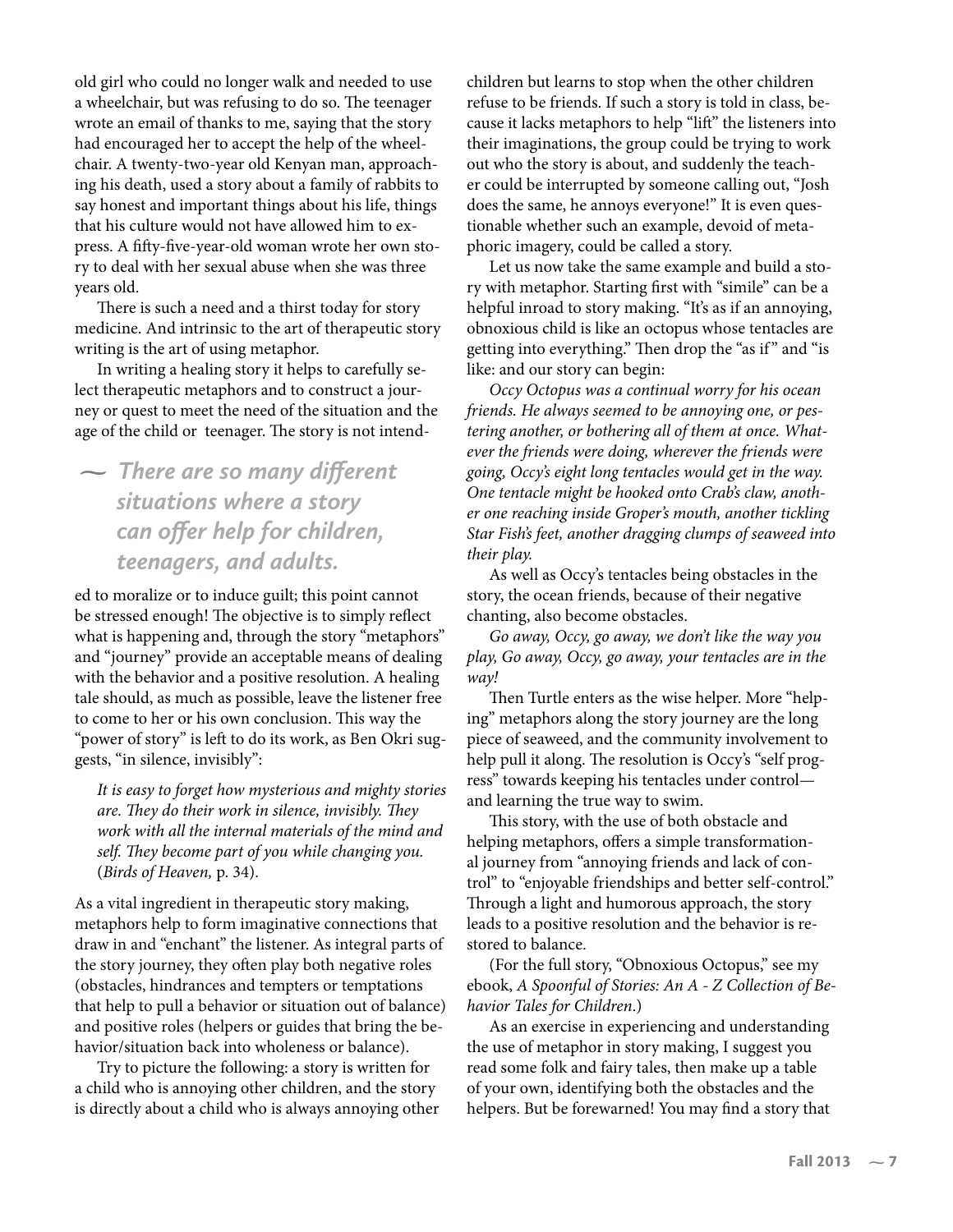old girl who could no longer walk and needed to use a wheelchair, but was refusing to do so. The teenager wrote an email of thanks to me, saying that the story had encouraged her to accept the help of the wheelchair. A twenty-two-year old Kenyan man, approaching his death, used a story about a family of rabbits to say honest and important things about his life, things that his culture would not have allowed him to express. A fifty-five-year-old woman wrote her own story to deal with her sexual abuse when she was three years old.

There is such a need and a thirst today for story medicine. And intrinsic to the art of therapeutic story writing is the art of using metaphor.

In writing a healing story it helps to carefully select therapeutic metaphors and to construct a journey or quest to meet the need of the situation and the age of the child or teenager. The story is not intend-

**-** *There are so many different situations where a story can offer help for children, teenagers, and adults.*

ed to moralize or to induce guilt; this point cannot be stressed enough! The objective is to simply reflect what is happening and, through the story "metaphors" and "journey" provide an acceptable means of dealing with the behavior and a positive resolution. A healing tale should, as much as possible, leave the listener free to come to her or his own conclusion. This way the "power of story" is left to do its work, as Ben Okri suggests, "in silence, invisibly":

*It is easy to forget how mysterious and mighty stories are. They do their work in silence, invisibly. They work with all the internal materials of the mind and self. They become part of you while changing you.*  (*Birds of Heaven,* p. 34).

As a vital ingredient in therapeutic story making, metaphors help to form imaginative connections that draw in and "enchant" the listener. As integral parts of the story journey, they often play both negative roles (obstacles, hindrances and tempters or temptations that help to pull a behavior or situation out of balance) and positive roles (helpers or guides that bring the behavior/situation back into wholeness or balance).

Try to picture the following: a story is written for a child who is annoying other children, and the story is directly about a child who is always annoying other children but learns to stop when the other children refuse to be friends. If such a story is told in class, because it lacks metaphors to help "lift" the listeners into their imaginations, the group could be trying to work out who the story is about, and suddenly the teacher could be interrupted by someone calling out, "Josh does the same, he annoys everyone!" It is even questionable whether such an example, devoid of metaphoric imagery, could be called a story.

Let us now take the same example and build a story with metaphor. Starting first with "simile" can be a helpful inroad to story making. "It's as if an annoying, obnoxious child is like an octopus whose tentacles are getting into everything." Then drop the "as if " and "is like: and our story can begin:

*Occy Octopus was a continual worry for his ocean friends. He always seemed to be annoying one, or pestering another, or bothering all of them at once. Whatever the friends were doing, wherever the friends were going, Occy's eight long tentacles would get in the way. One tentacle might be hooked onto Crab's claw, another one reaching inside Groper's mouth, another tickling Star Fish's feet, another dragging clumps of seaweed into their play.*

As well as Occy's tentacles being obstacles in the story, the ocean friends, because of their negative chanting, also become obstacles.

*Go away, Occy, go away, we don't like the way you play, Go away, Occy, go away, your tentacles are in the way!*

Then Turtle enters as the wise helper. More "helping" metaphors along the story journey are the long piece of seaweed, and the community involvement to help pull it along. The resolution is Occy's "self progress" towards keeping his tentacles under control and learning the true way to swim.

This story, with the use of both obstacle and helping metaphors, offers a simple transformational journey from "annoying friends and lack of control" to "enjoyable friendships and better self-control." Through a light and humorous approach, the story leads to a positive resolution and the behavior is restored to balance.

(For the full story, "Obnoxious Octopus," see my ebook, *A Spoonful of Stories: An A - Z Collection of Behavior Tales for Children*.)

As an exercise in experiencing and understanding the use of metaphor in story making, I suggest you read some folk and fairy tales, then make up a table of your own, identifying both the obstacles and the helpers. But be forewarned! You may find a story that